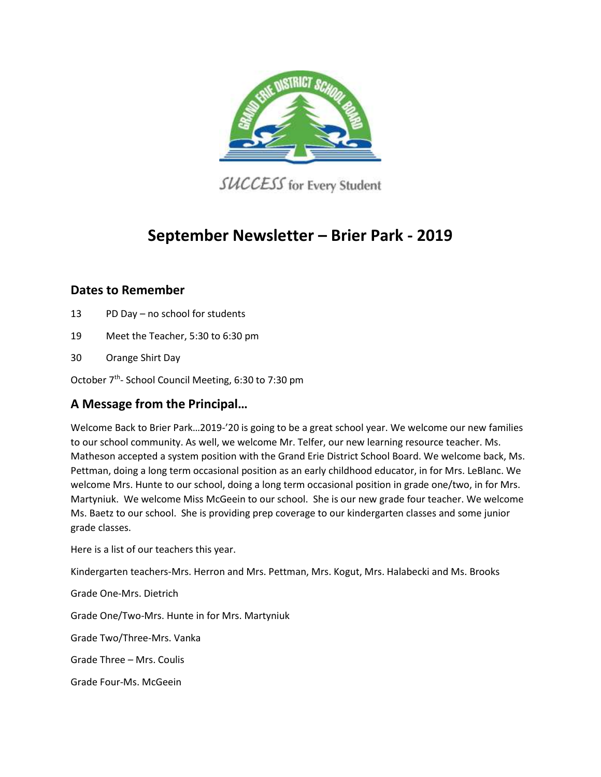

SUCCESS for Every Student

# **September Newsletter – Brier Park - 2019**

# **Dates to Remember**

- 13 PD Day no school for students
- 19 Meet the Teacher, 5:30 to 6:30 pm
- 30 Orange Shirt Day

October 7<sup>th</sup>- School Council Meeting, 6:30 to 7:30 pm

# **A Message from the Principal…**

Welcome Back to Brier Park…2019-'20 is going to be a great school year. We welcome our new families to our school community. As well, we welcome Mr. Telfer, our new learning resource teacher. Ms. Matheson accepted a system position with the Grand Erie District School Board. We welcome back, Ms. Pettman, doing a long term occasional position as an early childhood educator, in for Mrs. LeBlanc. We welcome Mrs. Hunte to our school, doing a long term occasional position in grade one/two, in for Mrs. Martyniuk. We welcome Miss McGeein to our school. She is our new grade four teacher. We welcome Ms. Baetz to our school. She is providing prep coverage to our kindergarten classes and some junior grade classes.

Here is a list of our teachers this year.

Kindergarten teachers-Mrs. Herron and Mrs. Pettman, Mrs. Kogut, Mrs. Halabecki and Ms. Brooks

Grade One-Mrs. Dietrich

Grade One/Two-Mrs. Hunte in for Mrs. Martyniuk

Grade Two/Three-Mrs. Vanka

Grade Three – Mrs. Coulis

Grade Four-Ms. McGeein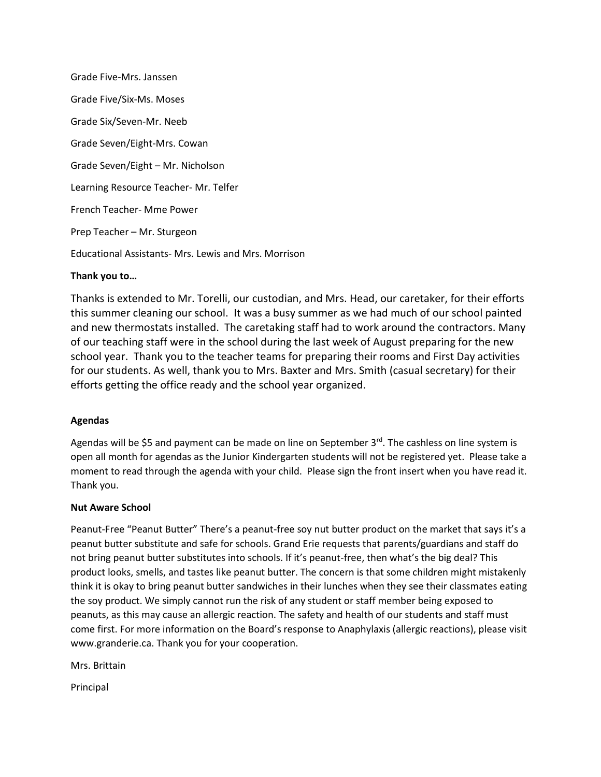Grade Five-Mrs. Janssen Grade Five/Six-Ms. Moses Grade Six/Seven-Mr. Neeb Grade Seven/Eight-Mrs. Cowan Grade Seven/Eight – Mr. Nicholson Learning Resource Teacher- Mr. Telfer French Teacher- Mme Power Prep Teacher – Mr. Sturgeon Educational Assistants- Mrs. Lewis and Mrs. Morrison

## **Thank you to…**

Thanks is extended to Mr. Torelli, our custodian, and Mrs. Head, our caretaker, for their efforts this summer cleaning our school. It was a busy summer as we had much of our school painted and new thermostats installed. The caretaking staff had to work around the contractors. Many of our teaching staff were in the school during the last week of August preparing for the new school year. Thank you to the teacher teams for preparing their rooms and First Day activities for our students. As well, thank you to Mrs. Baxter and Mrs. Smith (casual secretary) for their efforts getting the office ready and the school year organized.

### **Agendas**

Agendas will be \$5 and payment can be made on line on September 3<sup>rd</sup>. The cashless on line system is open all month for agendas as the Junior Kindergarten students will not be registered yet. Please take a moment to read through the agenda with your child. Please sign the front insert when you have read it. Thank you.

### **Nut Aware School**

Peanut-Free "Peanut Butter" There's a peanut-free soy nut butter product on the market that says it's a peanut butter substitute and safe for schools. Grand Erie requests that parents/guardians and staff do not bring peanut butter substitutes into schools. If it's peanut-free, then what's the big deal? This product looks, smells, and tastes like peanut butter. The concern is that some children might mistakenly think it is okay to bring peanut butter sandwiches in their lunches when they see their classmates eating the soy product. We simply cannot run the risk of any student or staff member being exposed to peanuts, as this may cause an allergic reaction. The safety and health of our students and staff must come first. For more information on the Board's response to Anaphylaxis (allergic reactions), please visit www.granderie.ca. Thank you for your cooperation.

Mrs. Brittain

Principal